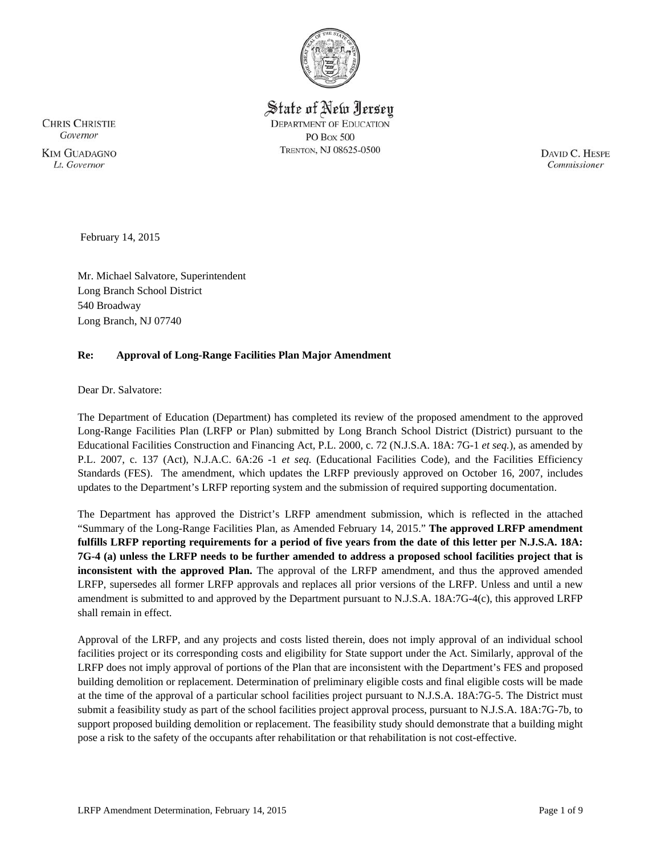

State of New Jersey **DEPARTMENT OF EDUCATION PO Box 500** TRENTON, NJ 08625-0500

**CHRIS CHRISTIE** Governor **KIM GUADAGNO** Lt. Governor

DAVID C. HESPE Commissioner

February 14, 2015

Mr. Michael Salvatore, Superintendent Long Branch School District 540 Broadway Long Branch, NJ 07740

# **Re: Approval of Long-Range Facilities Plan Major Amendment**

Dear Dr. Salvatore:

The Department of Education (Department) has completed its review of the proposed amendment to the approved Long-Range Facilities Plan (LRFP or Plan) submitted by Long Branch School District (District) pursuant to the Educational Facilities Construction and Financing Act, P.L. 2000, c. 72 (N.J.S.A. 18A: 7G-1 *et seq.*), as amended by P.L. 2007, c. 137 (Act), N.J.A.C. 6A:26 -1 *et seq.* (Educational Facilities Code), and the Facilities Efficiency Standards (FES). The amendment, which updates the LRFP previously approved on October 16, 2007, includes updates to the Department's LRFP reporting system and the submission of required supporting documentation.

The Department has approved the District's LRFP amendment submission, which is reflected in the attached "Summary of the Long-Range Facilities Plan, as Amended February 14, 2015." **The approved LRFP amendment fulfills LRFP reporting requirements for a period of five years from the date of this letter per N.J.S.A. 18A: 7G-4 (a) unless the LRFP needs to be further amended to address a proposed school facilities project that is inconsistent with the approved Plan.** The approval of the LRFP amendment, and thus the approved amended LRFP, supersedes all former LRFP approvals and replaces all prior versions of the LRFP. Unless and until a new amendment is submitted to and approved by the Department pursuant to N.J.S.A. 18A:7G-4(c), this approved LRFP shall remain in effect.

Approval of the LRFP, and any projects and costs listed therein, does not imply approval of an individual school facilities project or its corresponding costs and eligibility for State support under the Act. Similarly, approval of the LRFP does not imply approval of portions of the Plan that are inconsistent with the Department's FES and proposed building demolition or replacement. Determination of preliminary eligible costs and final eligible costs will be made at the time of the approval of a particular school facilities project pursuant to N.J.S.A. 18A:7G-5. The District must submit a feasibility study as part of the school facilities project approval process, pursuant to N.J.S.A. 18A:7G-7b, to support proposed building demolition or replacement. The feasibility study should demonstrate that a building might pose a risk to the safety of the occupants after rehabilitation or that rehabilitation is not cost-effective.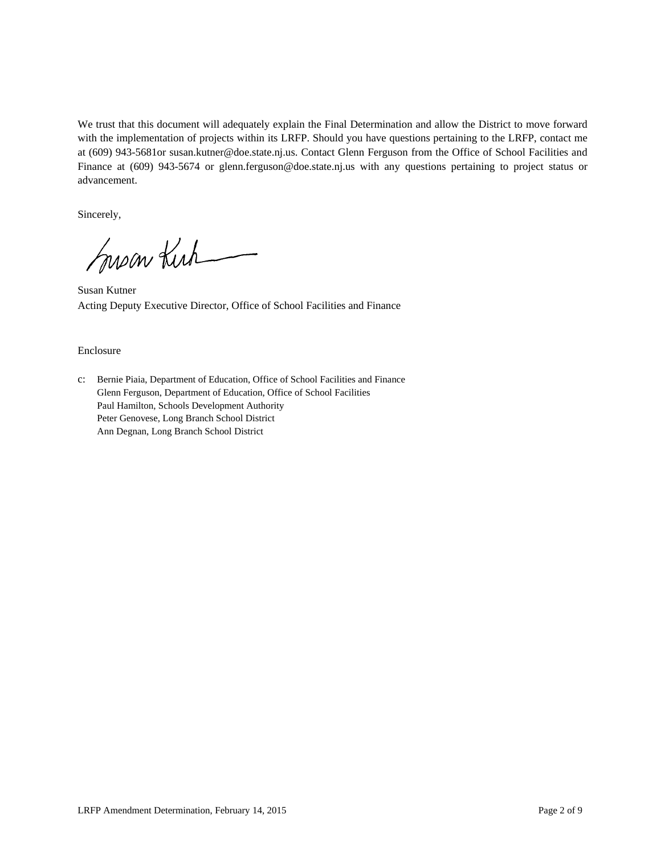We trust that this document will adequately explain the Final Determination and allow the District to move forward with the implementation of projects within its LRFP. Should you have questions pertaining to the LRFP, contact me at (609) 943-5681or susan.kutner@doe.state.nj.us. Contact Glenn Ferguson from the Office of School Facilities and Finance at (609) 943-5674 or glenn.ferguson@doe.state.nj.us with any questions pertaining to project status or advancement.

Sincerely,

moon Kich

Susan Kutner Acting Deputy Executive Director, Office of School Facilities and Finance

#### Enclosure

c: Bernie Piaia, Department of Education, Office of School Facilities and Finance Glenn Ferguson, Department of Education, Office of School Facilities Paul Hamilton, Schools Development Authority Peter Genovese, Long Branch School District Ann Degnan, Long Branch School District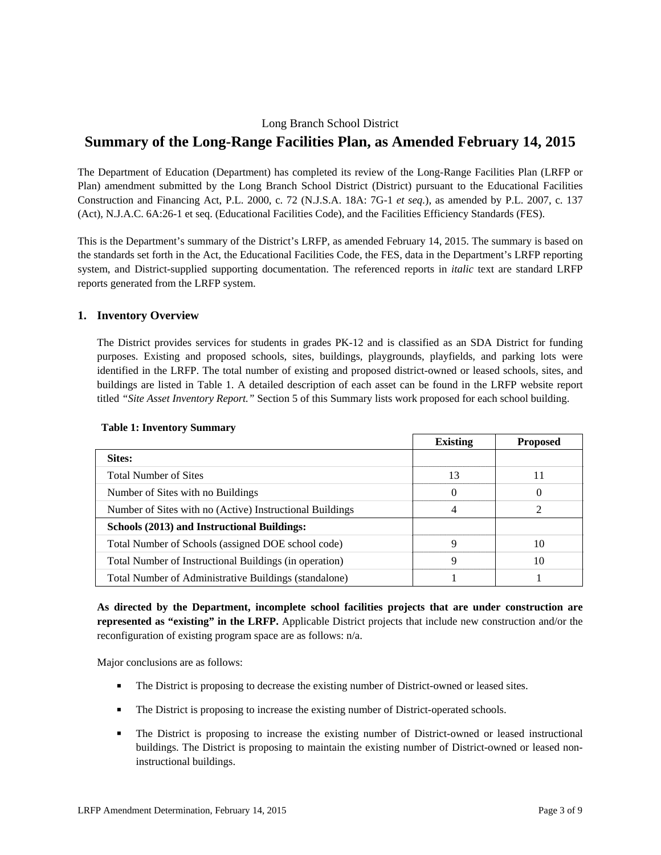## Long Branch School District

# **Summary of the Long-Range Facilities Plan, as Amended February 14, 2015**

The Department of Education (Department) has completed its review of the Long-Range Facilities Plan (LRFP or Plan) amendment submitted by the Long Branch School District (District) pursuant to the Educational Facilities Construction and Financing Act, P.L. 2000, c. 72 (N.J.S.A. 18A: 7G-1 *et seq.*), as amended by P.L. 2007, c. 137 (Act), N.J.A.C. 6A:26-1 et seq. (Educational Facilities Code), and the Facilities Efficiency Standards (FES).

This is the Department's summary of the District's LRFP, as amended February 14, 2015. The summary is based on the standards set forth in the Act, the Educational Facilities Code, the FES, data in the Department's LRFP reporting system, and District-supplied supporting documentation. The referenced reports in *italic* text are standard LRFP reports generated from the LRFP system.

## **1. Inventory Overview**

The District provides services for students in grades PK-12 and is classified as an SDA District for funding purposes. Existing and proposed schools, sites, buildings, playgrounds, playfields, and parking lots were identified in the LRFP. The total number of existing and proposed district-owned or leased schools, sites, and buildings are listed in Table 1. A detailed description of each asset can be found in the LRFP website report titled *"Site Asset Inventory Report."* Section 5 of this Summary lists work proposed for each school building.

|                                                          | <b>Existing</b> | <b>Proposed</b> |
|----------------------------------------------------------|-----------------|-----------------|
| Sites:                                                   |                 |                 |
| <b>Total Number of Sites</b>                             | 13              | 11              |
| Number of Sites with no Buildings                        | $\theta$        | $\theta$        |
| Number of Sites with no (Active) Instructional Buildings | 4               | 2               |
| Schools (2013) and Instructional Buildings:              |                 |                 |
| Total Number of Schools (assigned DOE school code)       | Q               | 10              |
| Total Number of Instructional Buildings (in operation)   | Q               | 10              |
| Total Number of Administrative Buildings (standalone)    |                 |                 |

#### **Table 1: Inventory Summary**

**As directed by the Department, incomplete school facilities projects that are under construction are represented as "existing" in the LRFP.** Applicable District projects that include new construction and/or the reconfiguration of existing program space are as follows: n/a.

Major conclusions are as follows:

- The District is proposing to decrease the existing number of District-owned or leased sites.
- The District is proposing to increase the existing number of District-operated schools.
- The District is proposing to increase the existing number of District-owned or leased instructional buildings. The District is proposing to maintain the existing number of District-owned or leased noninstructional buildings.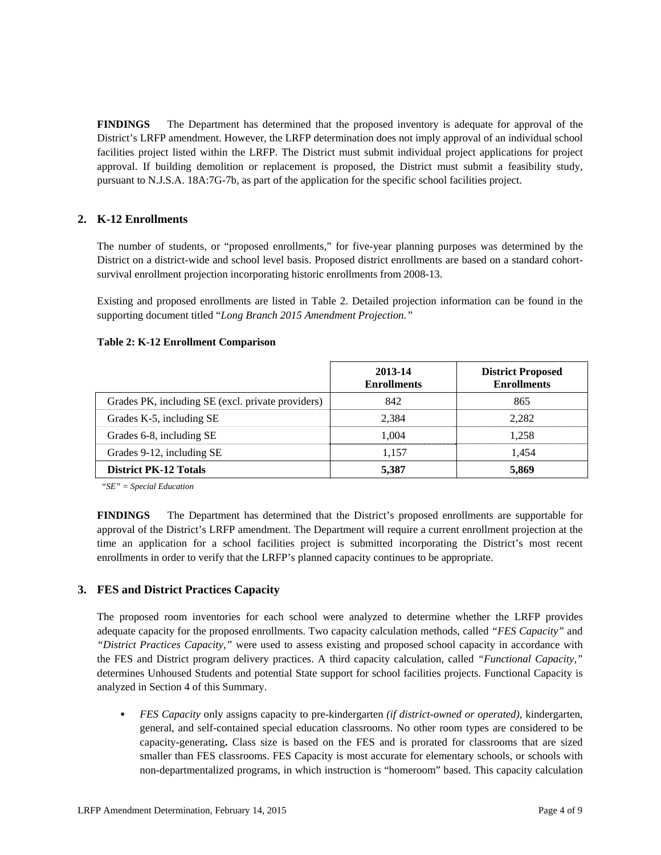**FINDINGS** The Department has determined that the proposed inventory is adequate for approval of the District's LRFP amendment. However, the LRFP determination does not imply approval of an individual school facilities project listed within the LRFP. The District must submit individual project applications for project approval. If building demolition or replacement is proposed, the District must submit a feasibility study, pursuant to N.J.S.A. 18A:7G-7b, as part of the application for the specific school facilities project.

# **2. K-12 Enrollments**

The number of students, or "proposed enrollments," for five-year planning purposes was determined by the District on a district-wide and school level basis. Proposed district enrollments are based on a standard cohortsurvival enrollment projection incorporating historic enrollments from 2008-13.

Existing and proposed enrollments are listed in Table 2. Detailed projection information can be found in the supporting document titled "*Long Branch 2015 Amendment Projection."*

#### **Table 2: K-12 Enrollment Comparison**

|                                                   | 2013-14<br><b>Enrollments</b> | <b>District Proposed</b><br><b>Enrollments</b> |
|---------------------------------------------------|-------------------------------|------------------------------------------------|
| Grades PK, including SE (excl. private providers) | 842                           | 865                                            |
| Grades K-5, including SE                          | 2.384                         | 2.282                                          |
| Grades 6-8, including SE                          | 1.004                         | 1.258                                          |
| Grades 9-12, including SE                         | 1.157                         | 1.454                                          |
| <b>District PK-12 Totals</b>                      | 5,387                         | 5,869                                          |

*"SE" = Special Education* 

**FINDINGS** The Department has determined that the District's proposed enrollments are supportable for approval of the District's LRFP amendment. The Department will require a current enrollment projection at the time an application for a school facilities project is submitted incorporating the District's most recent enrollments in order to verify that the LRFP's planned capacity continues to be appropriate.

## **3. FES and District Practices Capacity**

The proposed room inventories for each school were analyzed to determine whether the LRFP provides adequate capacity for the proposed enrollments. Two capacity calculation methods, called *"FES Capacity"* and *"District Practices Capacity,"* were used to assess existing and proposed school capacity in accordance with the FES and District program delivery practices. A third capacity calculation, called *"Functional Capacity,"* determines Unhoused Students and potential State support for school facilities projects. Functional Capacity is analyzed in Section 4 of this Summary.

 *FES Capacity* only assigns capacity to pre-kindergarten *(if district-owned or operated),* kindergarten, general, and self-contained special education classrooms. No other room types are considered to be capacity-generating**.** Class size is based on the FES and is prorated for classrooms that are sized smaller than FES classrooms. FES Capacity is most accurate for elementary schools, or schools with non-departmentalized programs, in which instruction is "homeroom" based. This capacity calculation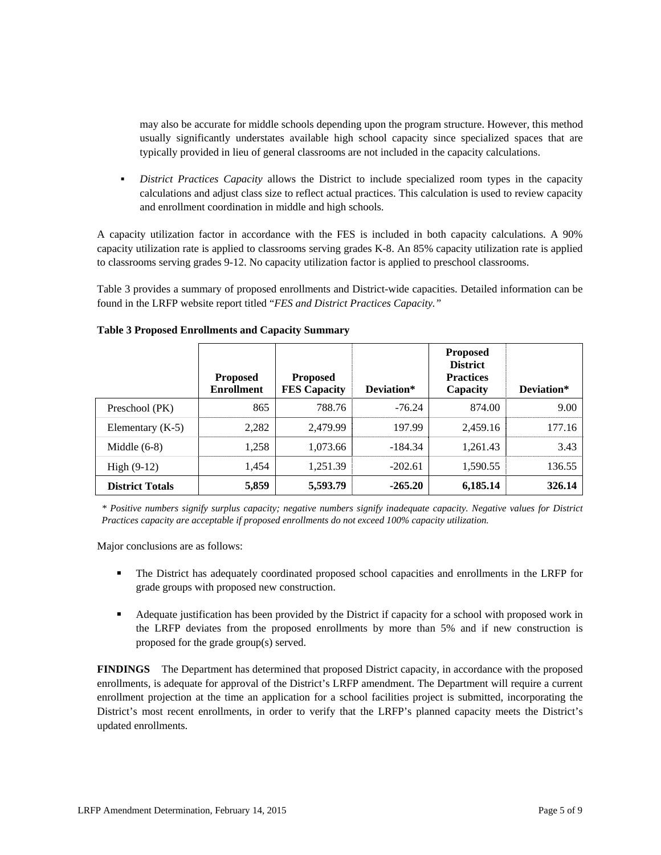may also be accurate for middle schools depending upon the program structure. However, this method usually significantly understates available high school capacity since specialized spaces that are typically provided in lieu of general classrooms are not included in the capacity calculations.

 *District Practices Capacity* allows the District to include specialized room types in the capacity calculations and adjust class size to reflect actual practices. This calculation is used to review capacity and enrollment coordination in middle and high schools.

A capacity utilization factor in accordance with the FES is included in both capacity calculations. A 90% capacity utilization rate is applied to classrooms serving grades K-8. An 85% capacity utilization rate is applied to classrooms serving grades 9-12. No capacity utilization factor is applied to preschool classrooms.

Table 3 provides a summary of proposed enrollments and District-wide capacities. Detailed information can be found in the LRFP website report titled "*FES and District Practices Capacity."*

|                        | <b>Proposed</b><br><b>Enrollment</b> | <b>Proposed</b><br><b>FES Capacity</b> | Deviation* | <b>Proposed</b><br><b>District</b><br><b>Practices</b><br>Capacity | Deviation* |
|------------------------|--------------------------------------|----------------------------------------|------------|--------------------------------------------------------------------|------------|
| Preschool (PK)         | 865                                  | 788.76                                 | $-76.24$   | 874.00                                                             | 9.00       |
| Elementary $(K-5)$     | 2,282                                | 2.479.99                               | 197.99     | 2.459.16                                                           | 177.16     |
| Middle $(6-8)$         | 1,258                                | 1,073.66                               | -184.34    | 1,261.43                                                           | 3.43       |
| High $(9-12)$          | 1,454                                | 1,251.39                               | $-202.61$  | 1,590.55                                                           | 136.55     |
| <b>District Totals</b> | 5,859                                | 5,593.79                               | $-265.20$  | 6,185.14                                                           | 326.14     |

#### **Table 3 Proposed Enrollments and Capacity Summary**

*\* Positive numbers signify surplus capacity; negative numbers signify inadequate capacity. Negative values for District Practices capacity are acceptable if proposed enrollments do not exceed 100% capacity utilization.* 

Major conclusions are as follows:

- The District has adequately coordinated proposed school capacities and enrollments in the LRFP for grade groups with proposed new construction.
- Adequate justification has been provided by the District if capacity for a school with proposed work in the LRFP deviates from the proposed enrollments by more than 5% and if new construction is proposed for the grade group(s) served.

**FINDINGS** The Department has determined that proposed District capacity, in accordance with the proposed enrollments, is adequate for approval of the District's LRFP amendment. The Department will require a current enrollment projection at the time an application for a school facilities project is submitted, incorporating the District's most recent enrollments, in order to verify that the LRFP's planned capacity meets the District's updated enrollments.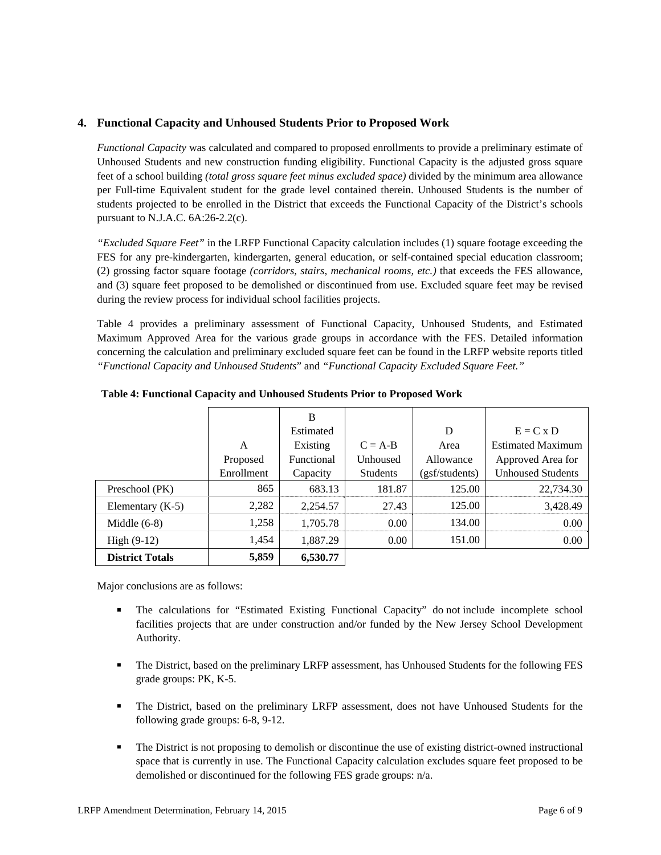## **4. Functional Capacity and Unhoused Students Prior to Proposed Work**

*Functional Capacity* was calculated and compared to proposed enrollments to provide a preliminary estimate of Unhoused Students and new construction funding eligibility. Functional Capacity is the adjusted gross square feet of a school building *(total gross square feet minus excluded space)* divided by the minimum area allowance per Full-time Equivalent student for the grade level contained therein. Unhoused Students is the number of students projected to be enrolled in the District that exceeds the Functional Capacity of the District's schools pursuant to N.J.A.C. 6A:26-2.2(c).

*"Excluded Square Feet"* in the LRFP Functional Capacity calculation includes (1) square footage exceeding the FES for any pre-kindergarten, kindergarten, general education, or self-contained special education classroom; (2) grossing factor square footage *(corridors, stairs, mechanical rooms, etc.)* that exceeds the FES allowance, and (3) square feet proposed to be demolished or discontinued from use. Excluded square feet may be revised during the review process for individual school facilities projects.

Table 4 provides a preliminary assessment of Functional Capacity, Unhoused Students, and Estimated Maximum Approved Area for the various grade groups in accordance with the FES. Detailed information concerning the calculation and preliminary excluded square feet can be found in the LRFP website reports titled *"Functional Capacity and Unhoused Students*" and *"Functional Capacity Excluded Square Feet."*

|                        |            | B          |                 |                |                          |
|------------------------|------------|------------|-----------------|----------------|--------------------------|
|                        |            | Estimated  |                 | D              | $E = C x D$              |
|                        | A          | Existing   | $C = A-B$       | Area           | <b>Estimated Maximum</b> |
|                        | Proposed   | Functional | Unhoused        | Allowance      | Approved Area for        |
|                        | Enrollment | Capacity   | <b>Students</b> | (gsf/students) | <b>Unhoused Students</b> |
| Preschool (PK)         | 865        | 683.13     | 181.87          | 125.00         | 22,734.30                |
| Elementary $(K-5)$     | 2,282      | 2,254.57   | 27.43           | 125.00         | 3,428.49                 |
| Middle $(6-8)$         | 1,258      | 1,705.78   | 0.00            | 134.00         | 0.00                     |
| High $(9-12)$          | 1,454      | 1,887.29   | 0.00            | 151.00         | 0.00                     |
| <b>District Totals</b> | 5,859      | 6,530.77   |                 |                |                          |

**Table 4: Functional Capacity and Unhoused Students Prior to Proposed Work** 

Major conclusions are as follows:

- The calculations for "Estimated Existing Functional Capacity" do not include incomplete school facilities projects that are under construction and/or funded by the New Jersey School Development Authority.
- The District, based on the preliminary LRFP assessment, has Unhoused Students for the following FES grade groups: PK, K-5.
- The District, based on the preliminary LRFP assessment, does not have Unhoused Students for the following grade groups: 6-8, 9-12.
- The District is not proposing to demolish or discontinue the use of existing district-owned instructional space that is currently in use. The Functional Capacity calculation excludes square feet proposed to be demolished or discontinued for the following FES grade groups: n/a.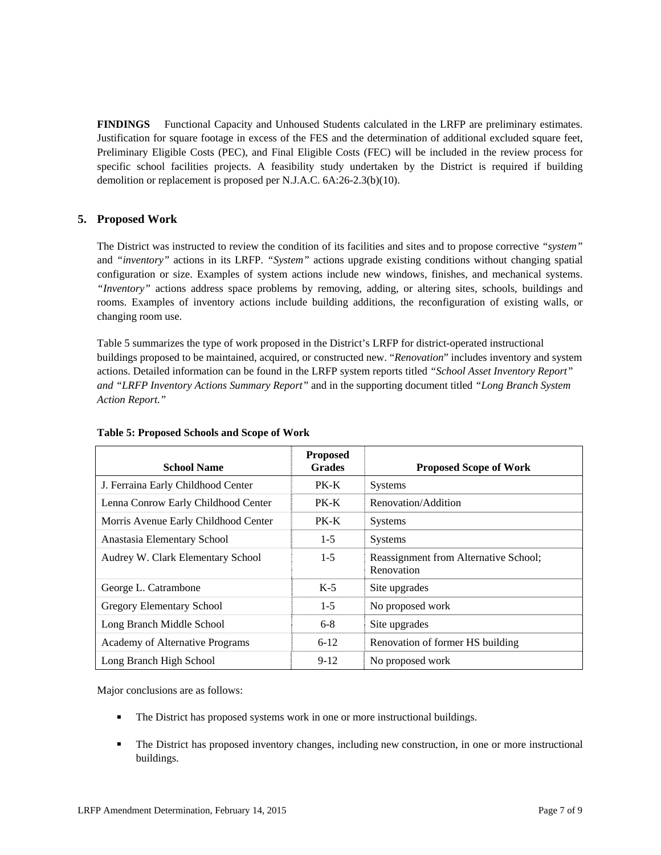**FINDINGS** Functional Capacity and Unhoused Students calculated in the LRFP are preliminary estimates. Justification for square footage in excess of the FES and the determination of additional excluded square feet, Preliminary Eligible Costs (PEC), and Final Eligible Costs (FEC) will be included in the review process for specific school facilities projects. A feasibility study undertaken by the District is required if building demolition or replacement is proposed per N.J.A.C. 6A:26-2.3(b)(10).

# **5. Proposed Work**

The District was instructed to review the condition of its facilities and sites and to propose corrective *"system"* and *"inventory"* actions in its LRFP. *"System"* actions upgrade existing conditions without changing spatial configuration or size. Examples of system actions include new windows, finishes, and mechanical systems. *"Inventory"* actions address space problems by removing, adding, or altering sites, schools, buildings and rooms. Examples of inventory actions include building additions, the reconfiguration of existing walls, or changing room use.

Table 5 summarizes the type of work proposed in the District's LRFP for district-operated instructional buildings proposed to be maintained, acquired, or constructed new. "*Renovation*" includes inventory and system actions. Detailed information can be found in the LRFP system reports titled *"School Asset Inventory Report" and "LRFP Inventory Actions Summary Report"* and in the supporting document titled *"Long Branch System Action Report."*

| <b>School Name</b>                     | <b>Proposed</b><br><b>Grades</b> | <b>Proposed Scope of Work</b>                       |
|----------------------------------------|----------------------------------|-----------------------------------------------------|
| J. Ferraina Early Childhood Center     | PK-K                             | <b>Systems</b>                                      |
| Lenna Conrow Early Childhood Center    | PK-K                             | Renovation/Addition                                 |
| Morris Avenue Early Childhood Center   | PK-K                             | Systems                                             |
| Anastasia Elementary School            | $1-5$                            | <b>Systems</b>                                      |
| Audrey W. Clark Elementary School      | $1-5$                            | Reassignment from Alternative School;<br>Renovation |
| George L. Catrambone                   | $K-5$                            | Site upgrades                                       |
| Gregory Elementary School              | $1-5$                            | No proposed work                                    |
| Long Branch Middle School              | $6 - 8$                          | Site upgrades                                       |
| <b>Academy of Alternative Programs</b> | $6 - 12$                         | Renovation of former HS building                    |
| Long Branch High School                | $9-12$                           | No proposed work                                    |

#### **Table 5: Proposed Schools and Scope of Work**

Major conclusions are as follows:

- The District has proposed systems work in one or more instructional buildings.
- The District has proposed inventory changes, including new construction, in one or more instructional buildings.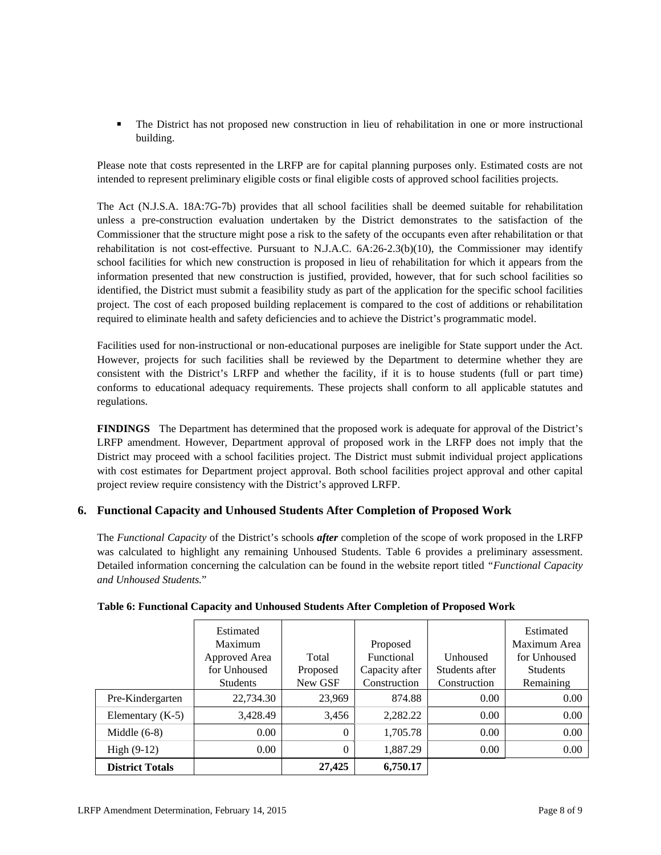The District has not proposed new construction in lieu of rehabilitation in one or more instructional building.

Please note that costs represented in the LRFP are for capital planning purposes only. Estimated costs are not intended to represent preliminary eligible costs or final eligible costs of approved school facilities projects.

The Act (N.J.S.A. 18A:7G-7b) provides that all school facilities shall be deemed suitable for rehabilitation unless a pre-construction evaluation undertaken by the District demonstrates to the satisfaction of the Commissioner that the structure might pose a risk to the safety of the occupants even after rehabilitation or that rehabilitation is not cost-effective. Pursuant to N.J.A.C. 6A:26-2.3(b)(10), the Commissioner may identify school facilities for which new construction is proposed in lieu of rehabilitation for which it appears from the information presented that new construction is justified, provided, however, that for such school facilities so identified, the District must submit a feasibility study as part of the application for the specific school facilities project. The cost of each proposed building replacement is compared to the cost of additions or rehabilitation required to eliminate health and safety deficiencies and to achieve the District's programmatic model.

Facilities used for non-instructional or non-educational purposes are ineligible for State support under the Act. However, projects for such facilities shall be reviewed by the Department to determine whether they are consistent with the District's LRFP and whether the facility, if it is to house students (full or part time) conforms to educational adequacy requirements. These projects shall conform to all applicable statutes and regulations.

**FINDINGS** The Department has determined that the proposed work is adequate for approval of the District's LRFP amendment. However, Department approval of proposed work in the LRFP does not imply that the District may proceed with a school facilities project. The District must submit individual project applications with cost estimates for Department project approval. Both school facilities project approval and other capital project review require consistency with the District's approved LRFP.

# **6. Functional Capacity and Unhoused Students After Completion of Proposed Work**

The *Functional Capacity* of the District's schools *after* completion of the scope of work proposed in the LRFP was calculated to highlight any remaining Unhoused Students. Table 6 provides a preliminary assessment. Detailed information concerning the calculation can be found in the website report titled *"Functional Capacity and Unhoused Students.*"

|                        | Estimated<br>Maximum |          | Proposed          |                | Estimated<br>Maximum Area |
|------------------------|----------------------|----------|-------------------|----------------|---------------------------|
|                        | Approved Area        | Total    | <b>Functional</b> | Unhoused       | for Unhoused              |
|                        | for Unhoused         | Proposed | Capacity after    | Students after | <b>Students</b>           |
|                        | <b>Students</b>      | New GSF  | Construction      | Construction   | Remaining                 |
| Pre-Kindergarten       | 22,734.30            | 23,969   | 874.88            | 0.00           | 0.00                      |
| Elementary $(K-5)$     | 3,428.49             | 3,456    | 2,282.22          | 0.00           | 0.00                      |
| Middle $(6-8)$         | 0.00                 | $\theta$ | 1,705.78          | 0.00           | 0.00                      |
| High $(9-12)$          | 0.00                 | $\theta$ | 1,887.29          | 0.00           | 0.00                      |
| <b>District Totals</b> |                      | 27,425   | 6,750.17          |                |                           |

## **Table 6: Functional Capacity and Unhoused Students After Completion of Proposed Work**